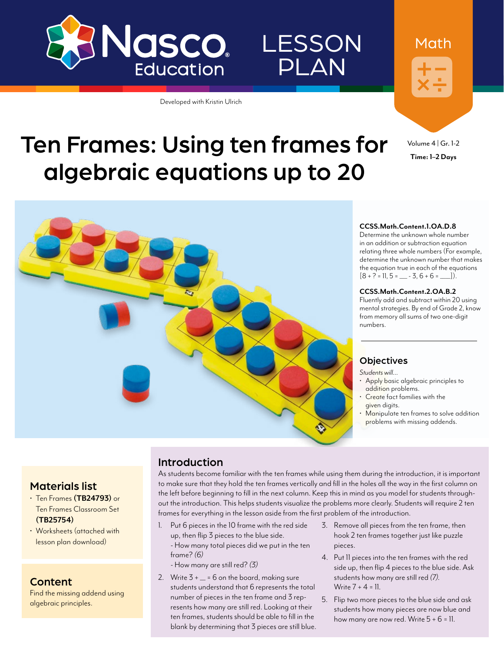

Developed with Kristin Ulrich



Volume 4 | Gr. 1-2 **Time: 1–2 Days**

Math

# Ten Frames: Using ten frames for algebraic equations up to 20



#### **CCSS.Math.Content.1.OA.D.8**

Determine the unknown whole number in an addition or subtraction equation relating three whole numbers (For example, determine the unknown number that makes the equation true in each of the equations  $[8 + ? = 11, 5 = \underline{\hspace{1cm}} - 3, 6 + 6 = \underline{\hspace{1cm}}].$ 

#### **CCSS.Math.Content.2.OA.B.2**

Fluently add and subtract within 20 using mental strategies. By end of Grade 2, know from memory all sums of two one-digit numbers.

### **Objectives**

*Students will…*

- Apply basic algebraic principles to addition problems.
- Create fact families with the given digits.
- Manipulate ten frames to solve addition problems with missing addends.

### Materials list

- Ten Frames **[\(TB24793](http://www.enasco.com/p/TB24793))** or Ten Frames Classroom Set **[\(TB25754](http://www.enasco.com/p/TB25754))**
- Worksheets (attached with lesson plan download)

### Content

Find the missing addend using algebraic principles.

### Introduction

As students become familiar with the ten frames while using them during the introduction, it is important to make sure that they hold the ten frames vertically and fill in the holes all the way in the first column on the left before beginning to fill in the next column. Keep this in mind as you model for students throughout the introduction. This helps students visualize the problems more clearly. Students will require 2 ten frames for everything in the lesson aside from the first problem of the introduction.

**LESSON** 

PLAN

- 1. Put 6 pieces in the 10 frame with the red side up, then flip 3 pieces to the blue side. - How many total pieces did we put in the ten frame? *(6)*
	- How many are still red? *(3)*
- 2. Write  $3 + \underline{\hspace{1cm}} = 6$  on the board, making sure students understand that 6 represents the total number of pieces in the ten frame and 3 represents how many are still red. Looking at their ten frames, students should be able to fill in the blank by determining that 3 pieces are still blue.
- 3. Remove all pieces from the ten frame, then hook 2 ten frames together just like puzzle pieces.
- 4. Put 11 pieces into the ten frames with the red side up, then flip 4 pieces to the blue side. Ask students how many are still red *(7)*. Write  $7 + 4 = 11$ .
- 5. Flip two more pieces to the blue side and ask students how many pieces are now blue and how many are now red. Write  $5 + 6 = 11$ .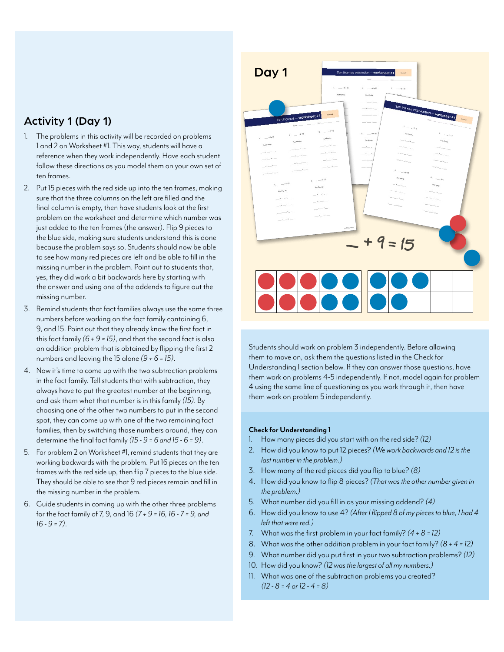## Activity 1 (Day 1)

- 1. The problems in this activity will be recorded on problems 1 and 2 on Worksheet #1. This way, students will have a reference when they work independently. Have each student follow these directions as you model them on your own set of ten frames.
- 2. Put 15 pieces with the red side up into the ten frames, making sure that the three columns on the left are filled and the final column is empty, then have students look at the first problem on the worksheet and determine which number was just added to the ten frames (the answer). Flip 9 pieces to the blue side, making sure students understand this is done because the problem says so. Students should now be able to see how many red pieces are left and be able to fill in the missing number in the problem. Point out to students that, yes, they did work a bit backwards here by starting with the answer and using one of the addends to figure out the missing number.
- 3. Remind students that fact families always use the same three numbers before working on the fact family containing 6, 9, and 15. Point out that they already know the first fact in this fact family *(6 + 9 = 15)*, and that the second fact is also an addition problem that is obtained by flipping the first 2 numbers and leaving the 15 alone *(9 + 6 = 15)*.
- 4. Now it's time to come up with the two subtraction problems in the fact family. Tell students that with subtraction, they always have to put the greatest number at the beginning, and ask them what that number is in this family *(15)*. By choosing one of the other two numbers to put in the second spot, they can come up with one of the two remaining fact families, then by switching those numbers around, they can determine the final fact family *(15 - 9 = 6 and 15 - 6 = 9)*.
- 5. For problem 2 on Worksheet #1, remind students that they are working backwards with the problem. Put 16 pieces on the ten frames with the red side up, then flip 7 pieces to the blue side. They should be able to see that 9 red pieces remain and fill in the missing number in the problem.
- 6. Guide students in coming up with the other three problems for the fact family of 7, 9, and 16 *(7 + 9 = 16, 16 - 7 = 9, and 16 - 9 = 7)*.



Students should work on problem 3 independently. Before allowing them to move on, ask them the questions listed in the Check for Understanding I section below. If they can answer those questions, have them work on problems 4-5 independently. If not, model again for problem 4 using the same line of questioning as you work through it, then have them work on problem 5 independently.

#### **Check for Understanding 1**

- 1. How many pieces did you start with on the red side? *(12)*
- 2. How did you know to put 12 pieces? *(We work backwards and 12 is the last number in the problem.)*
- 3. How many of the red pieces did you flip to blue? *(8)*
- 4. How did you know to flip 8 pieces? *(That was the other number given in the problem.)*
- 5. What number did you fill in as your missing addend? *(4)*
- 6. How did you know to use 4? *(After I flipped 8 of my pieces to blue, I had 4 left that were red.)*
- 7. What was the first problem in your fact family? *(4 + 8 = 12)*
- 8. What was the other addition problem in your fact family? *(8 + 4 = 12)*
- 9. What number did you put first in your two subtraction problems? *(12)*
- 10. How did you know? *(12 was the largest of all my numbers.)*
- 11. What was one of the subtraction problems you created? *(12 - 8 = 4 or 12 - 4 = 8)*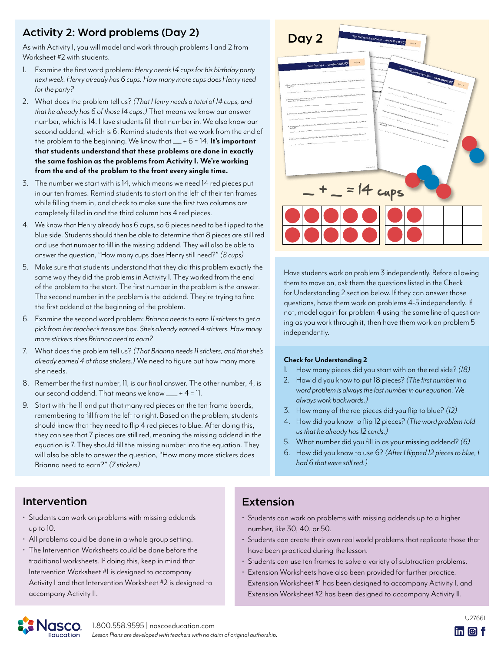## Activity 2: Word problems (Day 2)

As with Activity I, you will model and work through problems 1 and 2 from Worksheet #2 with students.

- 1. Examine the first word problem: *Henry needs 14 cups for his birthday party next week. Henry already has 6 cups. How many more cups does Henry need for the party?*
- 2. What does the problem tell us? *(That Henry needs a total of 14 cups, and that he already has 6 of those 14 cups.)* That means we know our answer number, which is 14. Have students fill that number in. We also know our second addend, which is 6. Remind students that we work from the end of the problem to the beginning. We know that \_\_\_ + 6 = 14. **It's important that students understand that these problems are done in exactly the same fashion as the problems from Activity I. We're working from the end of the problem to the front every single time.**
- 3. The number we start with is 14, which means we need 14 red pieces put in our ten frames. Remind students to start on the left of their ten frames while filling them in, and check to make sure the first two columns are completely filled in and the third column has 4 red pieces.
- 4. We know that Henry already has 6 cups, so 6 pieces need to be flipped to the blue side. Students should then be able to determine that 8 pieces are still red and use that number to fill in the missing addend. They will also be able to answer the question, "How many cups does Henry still need?" *(8 cups)*
- 5. Make sure that students understand that they did this problem exactly the same way they did the problems in Activity I. They worked from the end of the problem to the start. The first number in the problem is the answer. The second number in the problem is the addend. They're trying to find the first addend at the beginning of the problem.
- 6. Examine the second word problem: *Brianna needs to earn 11 stickers to get a pick from her teacher's treasure box. She's already earned 4 stickers. How many more stickers does Brianna need to earn?*
- 7. What does the problem tell us? *(That Brianna needs 11 stickers, and that she's already earned 4 of those stickers.)* We need to figure out how many more she needs.
- 8. Remember the first number, 11, is our final answer. The other number, 4, is our second addend. That means we know \_\_\_\_ + 4 = 11.
- 9. Start with the 11 and put that many red pieces on the ten frame boards, remembering to fill from the left to right. Based on the problem, students should know that they need to flip 4 red pieces to blue. After doing this, they can see that 7 pieces are still red, meaning the missing addend in the equation is 7. They should fill the missing number into the equation. They will also be able to answer the question, "How many more stickers does Brianna need to earn?" *(7 stickers)*



Have students work on problem 3 independently. Before allowing them to move on, ask them the questions listed in the Check for Understanding 2 section below. If they can answer those questions, have them work on problems 4-5 independently. If not, model again for problem 4 using the same line of questioning as you work through it, then have them work on problem 5 independently.

#### **Check for Understanding 2**

- 1. How many pieces did you start with on the red side? *(18)*
- 2. How did you know to put 18 pieces? *(The first number in a word problem is always the last number in our equation. We always work backwards.)*
- 3. How many of the red pieces did you flip to blue? *(12)*
- 4. How did you know to flip 12 pieces? *(The word problem told us that he already has 12 cards.)*
- 5. What number did you fill in as your missing addend? *(6)*
- 6. How did you know to use 6? *(After I flipped 12 pieces to blue, I had 6 that were still red.)*

## Intervention

- Students can work on problems with missing addends up to 10.
- All problems could be done in a whole group setting.
- The Intervention Worksheets could be done before the traditional worksheets. If doing this, keep in mind that Intervention Worksheet #1 is designed to accompany Activity I and that Intervention Worksheet #2 is designed to accompany Activity II.

## Extension

- Students can work on problems with missing addends up to a higher number, like 30, 40, or 50.
- Students can create their own real world problems that replicate those that have been practiced during the lesson.
- Students can use ten frames to solve a variety of subtraction problems.
- Extension Worksheets have also been provided for further practice. Extension Worksheet #1 has been designed to accompany Activity I, and Extension Worksheet #2 has been designed to accompany Activity II.



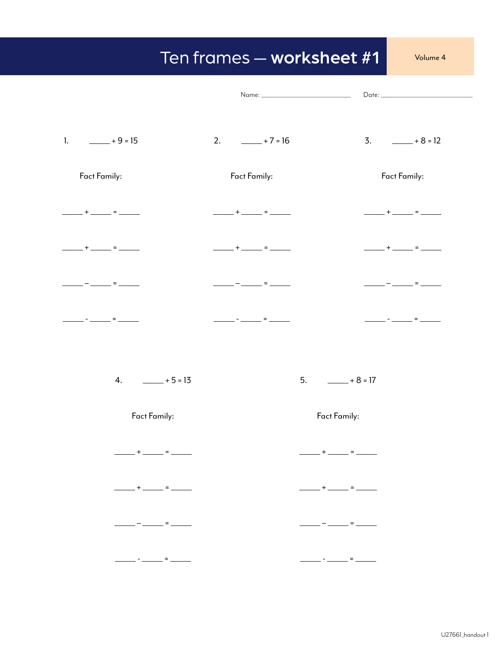## Ten frames - worksheet #1

Volume 4

| $\mathbf{1}$ .<br>$- 15$                                                                                                                                                                                                                                                                                                                                                                     | 2. $-+7=16$                                                   | $3. \qquad \qquad +8 = 12$                                                                                                                                                                                                                                                                                                                                                                                                      |
|----------------------------------------------------------------------------------------------------------------------------------------------------------------------------------------------------------------------------------------------------------------------------------------------------------------------------------------------------------------------------------------------|---------------------------------------------------------------|---------------------------------------------------------------------------------------------------------------------------------------------------------------------------------------------------------------------------------------------------------------------------------------------------------------------------------------------------------------------------------------------------------------------------------|
| Fact Family:                                                                                                                                                                                                                                                                                                                                                                                 | Fact Family:                                                  | Fact Family:                                                                                                                                                                                                                                                                                                                                                                                                                    |
| $\frac{1}{1}$ + $\frac{1}{1}$ = $\frac{1}{1}$                                                                                                                                                                                                                                                                                                                                                |                                                               |                                                                                                                                                                                                                                                                                                                                                                                                                                 |
| _____+______=_____                                                                                                                                                                                                                                                                                                                                                                           | $\frac{1}{2}$ + $\frac{1}{2}$ + $\frac{1}{2}$ + $\frac{1}{2}$ | _____+_____= ____                                                                                                                                                                                                                                                                                                                                                                                                               |
| — ______ = ______                                                                                                                                                                                                                                                                                                                                                                            | ___________________ = ________                                | __________________ = _________                                                                                                                                                                                                                                                                                                                                                                                                  |
| __ - __ __<br>$=$ _____                                                                                                                                                                                                                                                                                                                                                                      |                                                               | <u> - _ _ _</u> = ____                                                                                                                                                                                                                                                                                                                                                                                                          |
| 4. $-+5=13$                                                                                                                                                                                                                                                                                                                                                                                  |                                                               | $5. \qquad \qquad +8=17$                                                                                                                                                                                                                                                                                                                                                                                                        |
| Fact Family:                                                                                                                                                                                                                                                                                                                                                                                 |                                                               | Fact Family:                                                                                                                                                                                                                                                                                                                                                                                                                    |
| ______+ ______ = ______                                                                                                                                                                                                                                                                                                                                                                      |                                                               | $+$ $      -$                                                                                                                                                                                                                                                                                                                                                                                                                   |
| $\frac{1}{\sqrt{2}}$ + $\frac{1}{\sqrt{2}}$ = $\frac{1}{\sqrt{2}}$                                                                                                                                                                                                                                                                                                                           |                                                               | $\frac{1}{\sqrt{1-\frac{1}{2}}}\frac{1}{\sqrt{1-\frac{1}{2}}}\frac{1}{\sqrt{1-\frac{1}{2}}}\frac{1}{\sqrt{1-\frac{1}{2}}}\frac{1}{\sqrt{1-\frac{1}{2}}}\frac{1}{\sqrt{1-\frac{1}{2}}}\frac{1}{\sqrt{1-\frac{1}{2}}}\frac{1}{\sqrt{1-\frac{1}{2}}}\frac{1}{\sqrt{1-\frac{1}{2}}}\frac{1}{\sqrt{1-\frac{1}{2}}}\frac{1}{\sqrt{1-\frac{1}{2}}}\frac{1}{\sqrt{1-\frac{1}{2}}}\frac{1}{\sqrt{1-\frac{1}{2}}}\frac{1}{\sqrt{1-\frac{$ |
| $\frac{1}{1} \frac{1}{1} \frac{1}{1} \frac{1}{1} \frac{1}{1} \frac{1}{1} \frac{1}{1} \frac{1}{1} \frac{1}{1} \frac{1}{1} \frac{1}{1} \frac{1}{1} \frac{1}{1} \frac{1}{1} \frac{1}{1} \frac{1}{1} \frac{1}{1} \frac{1}{1} \frac{1}{1} \frac{1}{1} \frac{1}{1} \frac{1}{1} \frac{1}{1} \frac{1}{1} \frac{1}{1} \frac{1}{1} \frac{1}{1} \frac{1}{1} \frac{1}{1} \frac{1}{1} \frac{1}{1} \frac{$ |                                                               | $\frac{1}{1} \frac{1}{1} \frac{1}{1} \frac{1}{1} \frac{1}{1} \frac{1}{1} \frac{1}{1} \frac{1}{1} \frac{1}{1} \frac{1}{1} \frac{1}{1} \frac{1}{1} \frac{1}{1} \frac{1}{1} \frac{1}{1} \frac{1}{1} \frac{1}{1} \frac{1}{1} \frac{1}{1} \frac{1}{1} \frac{1}{1} \frac{1}{1} \frac{1}{1} \frac{1}{1} \frac{1}{1} \frac{1}{1} \frac{1}{1} \frac{1}{1} \frac{1}{1} \frac{1}{1} \frac{1}{1} \frac{$                                    |
|                                                                                                                                                                                                                                                                                                                                                                                              |                                                               | $\frac{1}{1-\frac{1}{1-\frac{1}{1-\frac{1}{1-\frac{1}{1-\frac{1}{1-\frac{1}{1-\frac{1}{1-\frac{1}{1-\frac{1}{1-\frac{1}{1-\frac{1}{1-\frac{1}{1-\frac{1}{1-\frac{1}{1-\frac{1}{1-\frac{1}{1-\frac{1}{1-\frac{1}{1-\frac{1}{1-\frac{1}{1-\frac{1}{1-\frac{1}{1-\frac{1}{1-\frac{1}{1-\frac{1}{1-\frac{1}{1-\frac{1}{1-\frac{1}{1-\frac{1}{1-\frac{1}{1-\frac{1}{1-\frac{1}{1-\frac{1}{1-\frac{1}{1-\frac{1}{1-\frac{1$           |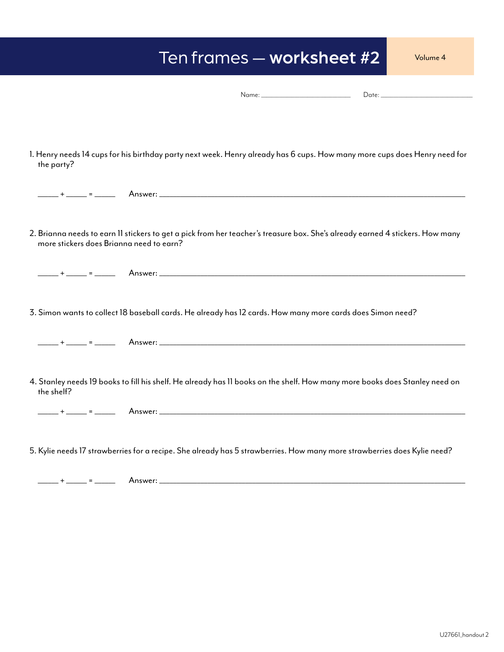## Ten frames — worksheet #2

Name: \_\_\_\_\_\_\_\_\_\_\_\_\_\_\_\_\_\_\_\_\_\_\_\_\_\_\_\_\_\_\_\_\_\_\_ Date: \_\_\_\_\_\_\_\_\_\_\_\_\_\_\_\_\_\_\_\_\_\_\_\_\_\_\_\_\_\_\_\_\_\_\_\_

1. Henry needs 14 cups for his birthday party next week. Henry already has 6 cups. How many more cups does Henry need for the party?

|            | 2. Brianna needs to earn 11 stickers to get a pick from her teacher's treasure box. She's already earned 4 stickers. How many<br>more stickers does Brianna need to earn? |
|------------|---------------------------------------------------------------------------------------------------------------------------------------------------------------------------|
|            |                                                                                                                                                                           |
|            | 3. Simon wants to collect 18 baseball cards. He already has 12 cards. How many more cards does Simon need?                                                                |
|            |                                                                                                                                                                           |
| the shelf? | 4. Stanley needs 19 books to fill his shelf. He already has 11 books on the shelf. How many more books does Stanley need on                                               |
|            |                                                                                                                                                                           |
|            | 5. Kylie needs 17 strawberries for a recipe. She already has 5 strawberries. How many more strawberries does Kylie need?                                                  |

\_\_\_\_\_\_ + \_\_\_\_\_\_ = \_\_\_\_\_\_ Answer: \_\_\_\_\_\_\_\_\_\_\_\_\_\_\_\_\_\_\_\_\_\_\_\_\_\_\_\_\_\_\_\_\_\_\_\_\_\_\_\_\_\_\_\_\_\_\_\_\_\_\_\_\_\_\_\_\_\_\_\_\_\_\_\_\_\_\_\_\_\_\_\_\_\_\_\_\_\_\_\_\_\_\_\_\_\_\_\_\_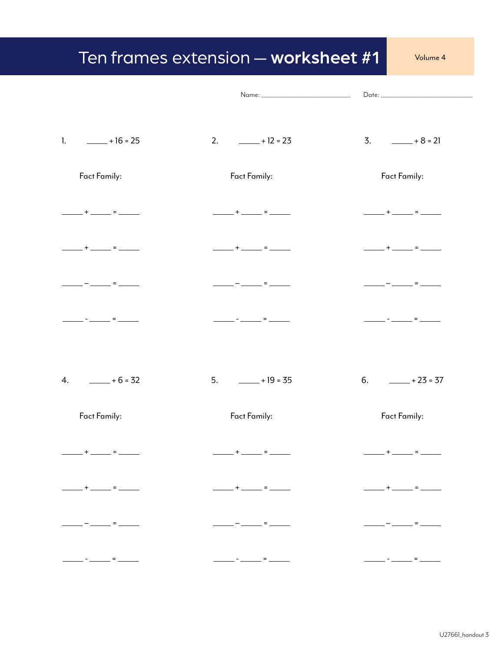## Ten frames extension - worksheet #1

Volume 4

|                         |                                                                                                                                                                                                                                                                                                                                                                                                                       | $\text{Date:}\_\_$         |
|-------------------------|-----------------------------------------------------------------------------------------------------------------------------------------------------------------------------------------------------------------------------------------------------------------------------------------------------------------------------------------------------------------------------------------------------------------------|----------------------------|
|                         |                                                                                                                                                                                                                                                                                                                                                                                                                       |                            |
| 1. _______ + 16 = 25    | 2. $-+12=23$                                                                                                                                                                                                                                                                                                                                                                                                          | $3. \qquad \qquad +8 = 21$ |
| Fact Family:            | Fact Family:                                                                                                                                                                                                                                                                                                                                                                                                          | Fact Family:               |
| ______ + ______ = _____ | $\frac{1}{1}$ + $\frac{1}{1}$ = $\frac{1}{1}$                                                                                                                                                                                                                                                                                                                                                                         | ______+ _____ = _____      |
| _____+ ______ = ______  | _____+_____= ____                                                                                                                                                                                                                                                                                                                                                                                                     | ______+ _____ = _____      |
| - ______ = ______       | . — ________ = ________                                                                                                                                                                                                                                                                                                                                                                                               | — _______ = _______        |
|                         |                                                                                                                                                                                                                                                                                                                                                                                                                       | . – <u>.</u> = <u>.</u>    |
|                         |                                                                                                                                                                                                                                                                                                                                                                                                                       |                            |
|                         | $5. \qquad \underline{\qquad} + 19 = 35$                                                                                                                                                                                                                                                                                                                                                                              | 6.<br>$-+23=37$            |
| Fact Family:            | Fact Family:                                                                                                                                                                                                                                                                                                                                                                                                          | Fact Family:               |
| ______+_____=_          |                                                                                                                                                                                                                                                                                                                                                                                                                       | <u>+_____</u> = _____      |
|                         | $\frac{1}{1-\frac{1}{1-\frac{1}{1-\frac{1}{1-\frac{1}{1-\frac{1}{1-\frac{1}{1-\frac{1}{1-\frac{1}{1-\frac{1}{1-\frac{1}{1-\frac{1}{1-\frac{1}{1-\frac{1}{1-\frac{1}{1-\frac{1}{1-\frac{1}{1-\frac{1}{1-\frac{1}{1-\frac{1}{1-\frac{1}{1-\frac{1}{1-\frac{1}{1-\frac{1}{1-\frac{1}{1-\frac{1}{1-\frac{1}{1-\frac{1}{1-\frac{1}{1-\frac{1}{1-\frac{1}{1-\frac{1}{1-\frac{1}{1-\frac{1}{1-\frac{1}{1-\frac{1}{1-\frac{1$ |                            |
|                         | $\frac{1}{\sqrt{2\pi}}\left[\frac{1}{\sqrt{2\pi}}\frac{1}{\sqrt{2\pi}}\frac{1}{\sqrt{2\pi}}\frac{1}{\sqrt{2\pi}}\frac{1}{\sqrt{2\pi}}\frac{1}{\sqrt{2\pi}}\frac{1}{\sqrt{2\pi}}\frac{1}{\sqrt{2\pi}}\frac{1}{\sqrt{2\pi}}\frac{1}{\sqrt{2\pi}}\frac{1}{\sqrt{2\pi}}\frac{1}{\sqrt{2\pi}}\frac{1}{\sqrt{2\pi}}\frac{1}{\sqrt{2\pi}}\frac{1}{\sqrt{2\pi}}\frac{1}{\sqrt{2\pi}}\frac{1}{\sqrt{2\pi}}\frac$               |                            |
|                         | <u> Alexandria de la contrada de la contrada de la contrada de la contrada de la contrada de la contrada de la co</u>                                                                                                                                                                                                                                                                                                 |                            |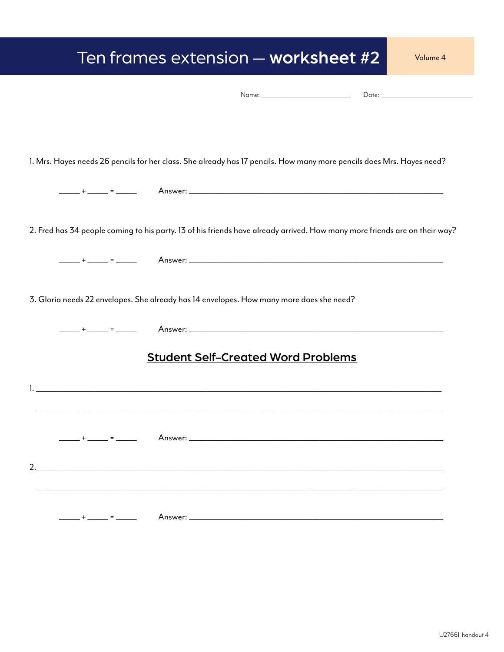| Ten frames extension - worksheet #2                                                                                                                                                                                                         | Volume 4 |
|---------------------------------------------------------------------------------------------------------------------------------------------------------------------------------------------------------------------------------------------|----------|
|                                                                                                                                                                                                                                             |          |
|                                                                                                                                                                                                                                             |          |
| 1. Mrs. Hayes needs 26 pencils for her class. She already has 17 pencils. How many more pencils does Mrs. Hayes need?                                                                                                                       |          |
|                                                                                                                                                                                                                                             |          |
| 2. Fred has 34 people coming to his party. 13 of his friends have already arrived. How many more friends are on their way?                                                                                                                  |          |
|                                                                                                                                                                                                                                             |          |
| 3. Gloria needs 22 envelopes. She already has 14 envelopes. How many more does she need?                                                                                                                                                    |          |
|                                                                                                                                                                                                                                             |          |
| <b>Student Self-Created Word Problems</b>                                                                                                                                                                                                   |          |
|                                                                                                                                                                                                                                             |          |
| Answer: And the contract of the contract of the contract of the contract of the contract of the contract of the contract of the contract of the contract of the contract of the contract of the contract of the contract of th<br>$+$ $  -$ |          |
| 2. $\qquad \qquad$                                                                                                                                                                                                                          |          |
|                                                                                                                                                                                                                                             |          |
| _______+ ______ = ______                                                                                                                                                                                                                    |          |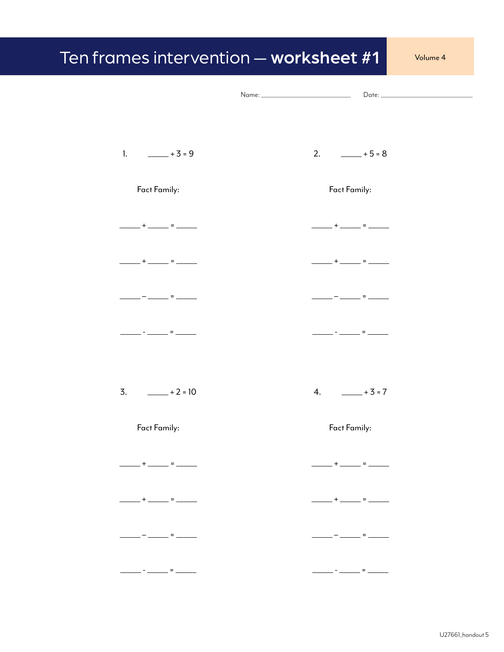## Ten frames intervention - worksheet #1 Volume 4 Name:  $Date:$ 1.  $- 3 = 9$ 2.  $-+5=8$ Fact Family: Fact Family:  $\frac{1}{1}$  +  $\frac{1}{1}$  =  $\frac{1}{1}$  $-$  +  $-$  =  $-+$   $-$  +  $-$  =  $-$  –  $-$  –  $-$  –  $-$  –  $-$  –  $-$  –  $-$  –  $-$  –  $-$  –  $-$  –  $-$  –  $-$  –  $-$  –  $-$  –  $-$  –  $-$  –  $-$  –  $-$  –  $-$  –  $-$  –  $-$  –  $-$  –  $-$  –  $-$  –  $-$  –  $-$  –  $-$  –  $-$  –  $-$  –  $-$  –  $-$  –  $-$  –  $-$  –  $-$  –  $-$  –  $-$  –  $-$  – \_\_\_\_ - \_\_\_\_\_\_ = \_\_\_\_\_\_ \_\_\_\_\_\_\_\_\_ = \_\_\_\_\_  $3. \t 2 = 10$ 4.  $- 3 = 7$ Fact Family: Fact Family:  $-$  +  $-$  =  $+$   $+$   $-$ + $-$  = $-$

\_\_-<sub>\_\_\_</sub>=\_\_\_

 $-$  -  $-$  -  $-$  -  $-$